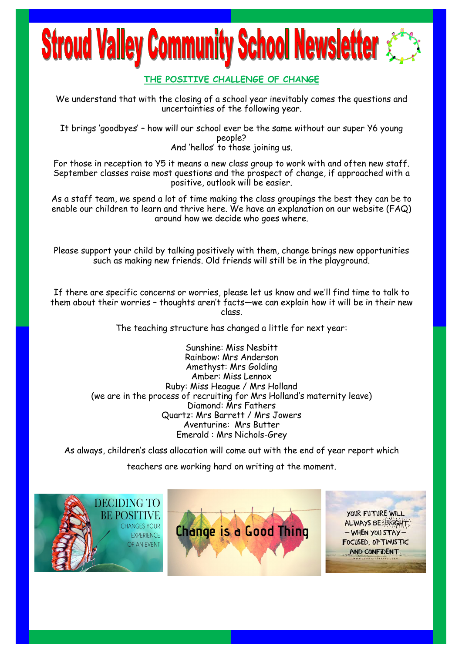# **Stroud Valley Community School Newsletter**

## **THE POSITIVE CHALLENGE OF CHANGE**

We understand that with the closing of a school year inevitably comes the questions and uncertainties of the following year.

It brings 'goodbyes' – how will our school ever be the same without our super Y6 young people? And 'hellos' to those joining us.

For those in reception to Y5 it means a new class group to work with and often new staff. September classes raise most questions and the prospect of change, if approached with a positive, outlook will be easier.

As a staff team, we spend a lot of time making the class groupings the best they can be to enable our children to learn and thrive here. We have an explanation on our website (FAQ) around how we decide who goes where.

Please support your child by talking positively with them, change brings new opportunities such as making new friends. Old friends will still be in the playground.

If there are specific concerns or worries, please let us know and we'll find time to talk to them about their worries – thoughts aren't facts—we can explain how it will be in their new class.

The teaching structure has changed a little for next year:

Sunshine: Miss Nesbitt Rainbow: Mrs Anderson Amethyst: Mrs Golding Amber: Miss Lennox Ruby: Miss Heague / Mrs Holland (we are in the process of recruiting for Mrs Holland's maternity leave) Diamond: Mrs Fathers Quartz: Mrs Barrett / Mrs Jowers Aventurine: Mrs Butter Emerald : Mrs Nichols-Grey

As always, children's class allocation will come out with the end of year report which

teachers are working hard on writing at the moment.